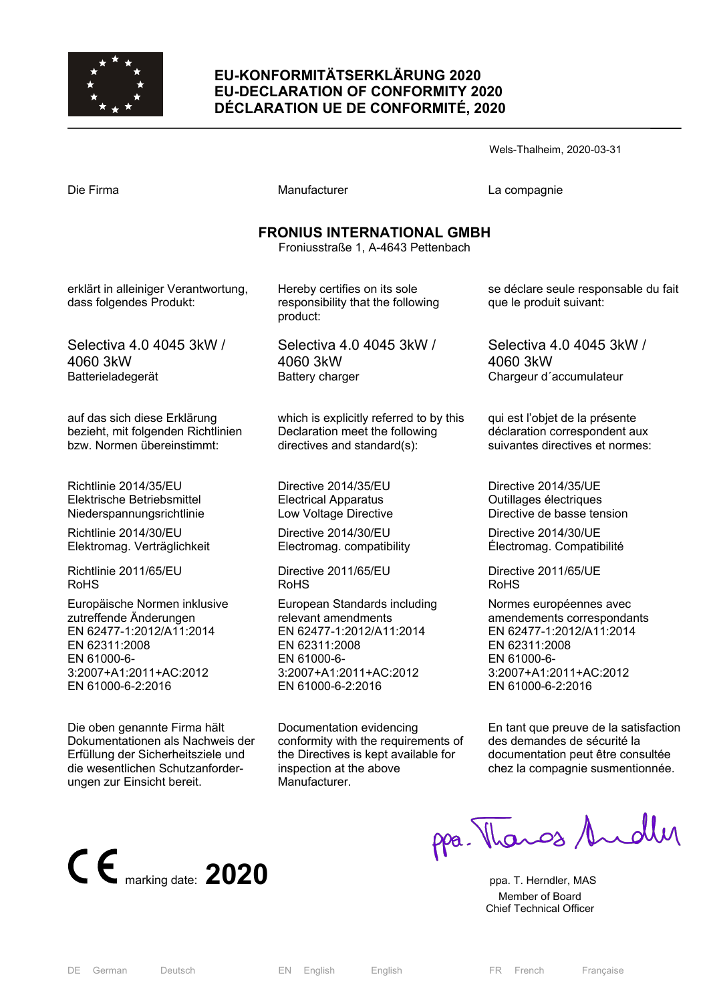

## **EU-KONFORMITÄTSERKLÄRUNG 2020 EU-DECLARATION OF CONFORMITY 2020 DÉCLARATION UE DE CONFORMITÉ, 2020**

|                                                                         |                                                                               | Wels-Thaineim, 2020-03-31                                       |  |  |
|-------------------------------------------------------------------------|-------------------------------------------------------------------------------|-----------------------------------------------------------------|--|--|
| Die Firma                                                               | Manufacturer                                                                  | La compagnie                                                    |  |  |
| <b>FRONIUS INTERNATIONAL GMBH</b><br>Froniusstraße 1, A-4643 Pettenbach |                                                                               |                                                                 |  |  |
| erklärt in alleiniger Verantwortung,<br>dass folgendes Produkt:         | Hereby certifies on its sole<br>responsibility that the following<br>product: | se déclare seule responsable du fait<br>que le produit suivant: |  |  |
| Selectiva 4.0 4045 3kW /                                                | Selectiva 4.0 4045 3kW /                                                      | Selectiva 4.0 4045 3kW /                                        |  |  |
| 4060 3kW                                                                | 4060 3kW                                                                      | 4060 3kW                                                        |  |  |
| Batterieladegerät                                                       | Battery charger                                                               | Chargeur d'accumulateur                                         |  |  |
| auf das sich diese Erklärung                                            | which is explicitly referred to by this                                       | qui est l'objet de la présente                                  |  |  |
| bezieht, mit folgenden Richtlinien                                      | Declaration meet the following                                                | déclaration correspondent aux                                   |  |  |
| bzw. Normen übereinstimmt:                                              | directives and standard(s):                                                   | suivantes directives et normes:                                 |  |  |
| Richtlinie 2014/35/EU                                                   | Directive 2014/35/EU                                                          | Directive 2014/35/UE                                            |  |  |
| Elektrische Betriebsmittel                                              | <b>Electrical Apparatus</b>                                                   | Outillages électriques                                          |  |  |
| Niederspannungsrichtlinie                                               | Low Voltage Directive                                                         | Directive de basse tension                                      |  |  |
| Richtlinie 2014/30/EU                                                   | Directive 2014/30/EU                                                          | Directive 2014/30/UE                                            |  |  |
| Elektromag. Verträglichkeit                                             | Electromag. compatibility                                                     | Électromag. Compatibilité                                       |  |  |
| Richtlinie 2011/65/EU                                                   | Directive 2011/65/EU                                                          | Directive 2011/65/UE                                            |  |  |
| <b>RoHS</b>                                                             | <b>RoHS</b>                                                                   | <b>RoHS</b>                                                     |  |  |
| Europäische Normen inklusive                                            | European Standards including                                                  | Normes européennes avec                                         |  |  |
| zutreffende Änderungen                                                  | relevant amendments                                                           | amendements correspondants                                      |  |  |
| EN 62477-1:2012/A11:2014                                                | EN 62477-1:2012/A11:2014                                                      | EN 62477-1:2012/A11:2014                                        |  |  |
| EN 62311:2008                                                           | EN 62311:2008                                                                 | EN 62311:2008                                                   |  |  |
| EN 61000-6-                                                             | EN 61000-6-                                                                   | EN 61000-6-                                                     |  |  |
| 3:2007+A1:2011+AC:2012                                                  | 3:2007+A1:2011+AC:2012                                                        | 3:2007+A1:2011+AC:2012                                          |  |  |
| EN 61000-6-2:2016                                                       | EN 61000-6-2:2016                                                             | EN 61000-6-2:2016                                               |  |  |

EN 61000-6-2:2016

 $\cdots$  Thalheim, 2020-03-31

En tant que preuve de la satisfaction des demandes de sécurité la documentation peut être consultée chez la compagnie susmentionnée.



Die oben genannte Firma hält Dokumentationen als Nachweis der Erfüllung der Sicherheitsziele und die wesentlichen Schutzanforder-

ungen zur Einsicht bereit.

ppa. Thangs Andly

 Member of Board Chief Technical Officer

Documentation evidencing

inspection at the above

Manufacturer.

conformity with the requirements of the Directives is kept available for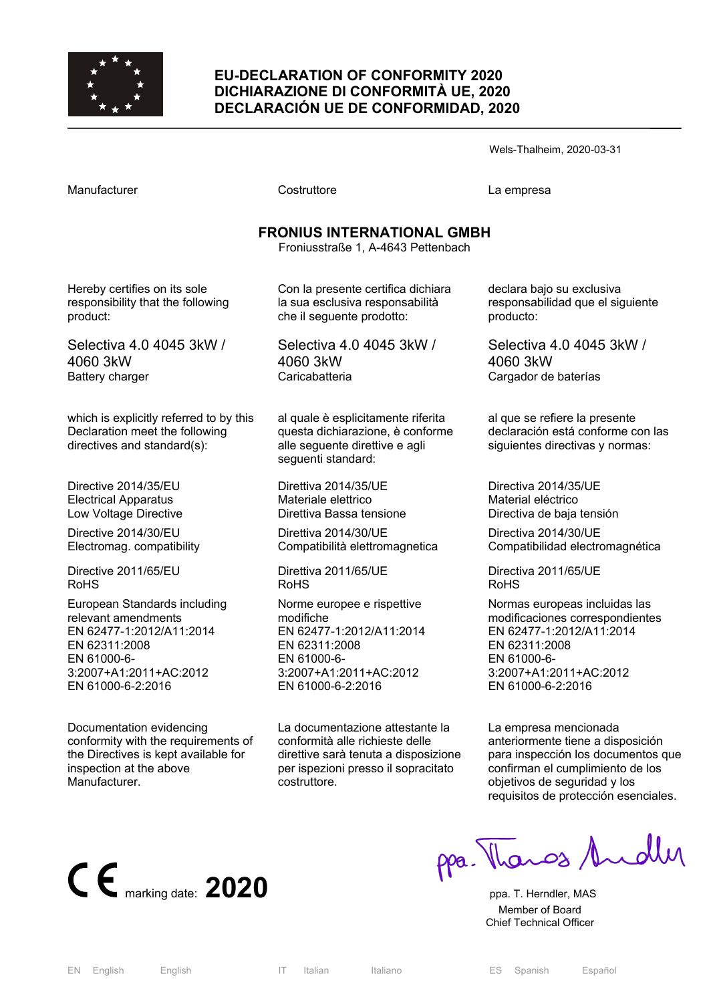

### **EU-DECLARATION OF CONFORMITY 2020 DICHIARAZIONE DI CONFORMITÀ UE, 2020 DECLARACIÓN UE DE CONFORMIDAD, 2020**

Wels-Thalheim, 2020-03-31

Costruttore **Costruttore** La empresa

# **FRONIUS INTERNATIONAL GMBH**

Froniusstraße 1, A-4643 Pettenbach

Hereby certifies on its sole responsibility that the following product:

Selectiva 4.0 4045 3kW / 4060 3kW Battery charger

which is explicitly referred to by this Declaration meet the following directives and standard(s):

Directive 2014/35/EU Electrical Apparatus Low Voltage Directive

Directive 2014/30/EU Electromag. compatibility

Directive 2011/65/EU RoHS

European Standards including relevant amendments EN 62477-1:2012/A11:2014 EN 62311:2008 EN 61000-6- 3:2007+A1:2011+AC:2012 EN 61000-6-2:2016

Documentation evidencing conformity with the requirements of the Directives is kept available for inspection at the above Manufacturer.

Con la presente certifica dichiara la sua esclusiva responsabilità che il seguente prodotto:

Selectiva 4.0 4045 3kW / 4060 3kW **Caricabatteria** 

al quale è esplicitamente riferita questa dichiarazione, è conforme alle seguente direttive e agli seguenti standard:

Direttiva 2014/35/UE Materiale elettrico Direttiva Bassa tensione

Direttiva 2014/30/UE Compatibilità elettromagnetica

Direttiva 2011/65/UE RoHS

Norme europee e rispettive modifiche EN 62477-1:2012/A11:2014 EN 62311:2008 EN 61000-6- 3:2007+A1:2011+AC:2012 EN 61000-6-2:2016

La documentazione attestante la conformità alle richieste delle direttive sarà tenuta a disposizione per ispezioni presso il sopracitato costruttore.

declara bajo su exclusiva responsabilidad que el siguiente producto:

Selectiva 4.0 4045 3kW / 4060 3kW Cargador de baterías

al que se refiere la presente declaración está conforme con las siguientes directivas y normas:

Directiva 2014/35/UE Material eléctrico Directiva de baja tensión

Directiva 2014/30/UE Compatibilidad electromagnética

Directiva 2011/65/UE RoHS

Normas europeas incluidas las modificaciones correspondientes EN 62477-1:2012/A11:2014 EN 62311:2008 EN 61000-6- 3:2007+A1:2011+AC:2012 EN 61000-6-2:2016

La empresa mencionada anteriormente tiene a disposición para inspección los documentos que confirman el cumplimiento de los objetivos de seguridad y los requisitos de protección esenciales.



Thanos Andley

 Member of Board Chief Technical Officer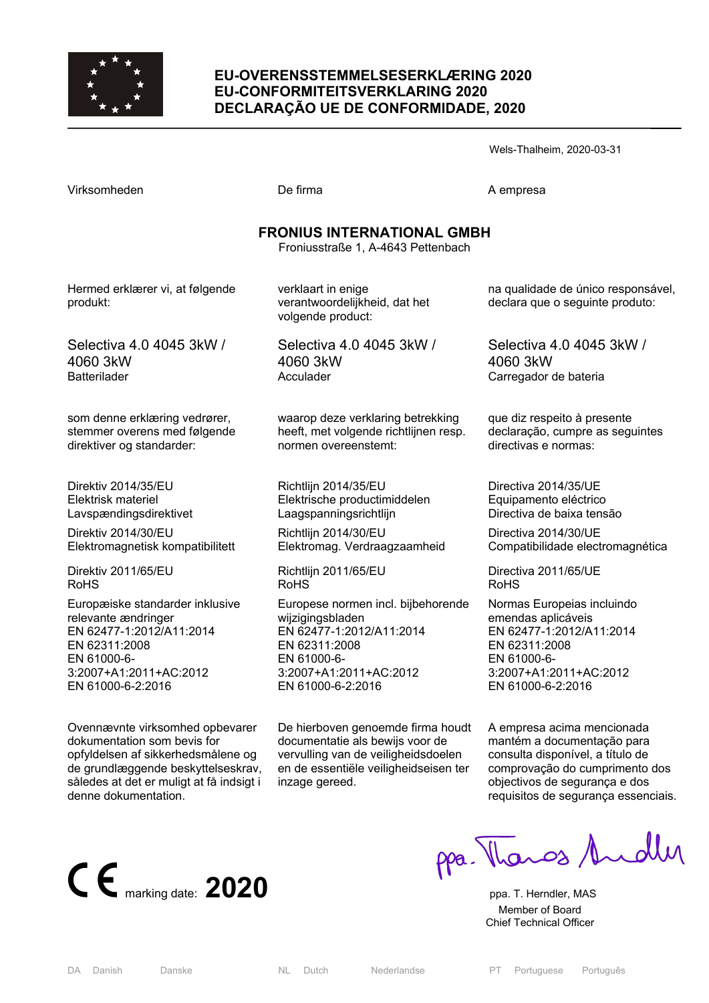

### **EU-OVERENSSTEMMELSESERKLÆRING 2020 EU-CONFORMITEITSVERKLARING 2020 DECLARAÇÃO UE DE CONFORMIDADE, 2020**

**FRONIUS INTERNATIONAL GMBH** 

Wels-Thalheim, 2020-03-31

|  | marking date: $2020$ |  |
|--|----------------------|--|

Froniusstraße 1, A-4643 Pettenbach

Hermed erklærer vi, at følgende produkt:

Selectiva 4.0 4045 3kW / 4060 3kW **Batterilader** 

som denne erklæring vedrører, stemmer overens med følgende direktiver og standarder:

Direktiv 2014/35/EU Elektrisk materiel Lavspændingsdirektivet

Direktiv 2014/30/EU Elektromagnetisk kompatibilitett

Direktiv 2011/65/EU RoHS

Europæiske standarder inklusive relevante ændringer EN 62477-1:2012/A11:2014 EN 62311:2008 EN 61000-6- 3:2007+A1:2011+AC:2012 EN 61000-6-2:2016

Ovennævnte virksomhed opbevarer dokumentation som bevis for opfyldelsen af sikkerhedsmålene og de grundlæggende beskyttelseskrav, således at det er muligt at få indsigt i denne dokumentation.

verklaart in enige verantwoordelijkheid, dat het volgende product:

Virksomheden De firma A empresa

Selectiva 4.0 4045 3kW / 4060 3kW Acculader

waarop deze verklaring betrekking heeft, met volgende richtlijnen resp. normen overeenstemt:

Richtlijn 2014/35/EU Elektrische productimiddelen Laagspanningsrichtlijn

Richtlijn 2014/30/EU Elektromag. Verdraagzaamheid

Richtlijn 2011/65/EU RoHS

Europese normen incl. bijbehorende wijzigingsbladen EN 62477-1:2012/A11:2014 EN 62311:2008 EN 61000-6- 3:2007+A1:2011+AC:2012 EN 61000-6-2:2016

De hierboven genoemde firma houdt documentatie als bewijs voor de vervulling van de veiligheidsdoelen en de essentiële veiligheidseisen ter inzage gereed.

na qualidade de único responsável, declara que o seguinte produto:

Selectiva 4.0 4045 3kW / 4060 3kW Carregador de bateria

que diz respeito à presente declaração, cumpre as seguintes directivas e normas:

Directiva 2014/35/UE Equipamento eléctrico Directiva de baixa tensão

Directiva 2014/30/UE Compatibilidade electromagnética

Directiva 2011/65/UE RoHS

Normas Europeias incluindo emendas aplicáveis EN 62477-1:2012/A11:2014 EN 62311:2008 EN 61000-6- 3:2007+A1:2011+AC:2012 EN 61000-6-2:2016

A empresa acima mencionada mantém a documentação para consulta disponível, a título de comprovação do cumprimento dos objectivos de segurança e dos requisitos de segurança essenciais.

pa. Thangs Andley

ppa. T. Herndler. MAS Member of Board Chief Technical Officer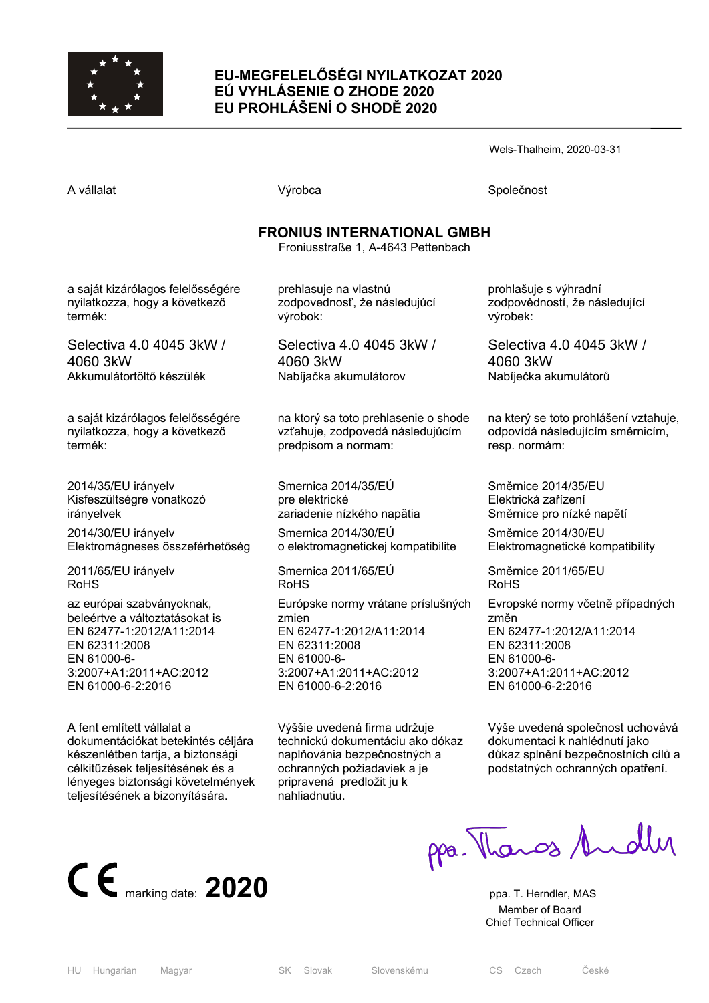

## **EU-MEGFELELŐSÉGI NYILATKOZAT 2020 EÚ VYHLÁSENIE O ZHODE 2020 EU PROHLÁŠENÍ O SHODĚ 2020**

Wels-Thalheim, 2020-03-31

A vállalat **A** vállalat Společnost **Výrobca** Společnost Společnost Společnost Společnost Společnost Společnost Společnost Společnost Společnost Společnost Společnost Společnost Společnost Společnost Společnost Společnost S

# **FRONIUS INTERNATIONAL GMBH**

Froniusstraße 1, A-4643 Pettenbach

a saját kizárólagos felelősségére nyilatkozza, hogy a következő termék:

Selectiva 4.0 4045 3kW / 4060 3kW Akkumulátortöltő készülék

a saját kizárólagos felelősségére nyilatkozza, hogy a következő termék:

2014/35/EU irányelv Kisfeszültségre vonatkozó irányelvek 2014/30/EU irányelv Elektromágneses összeférhetőség

2011/65/EU irányelv RoHS

az európai szabványoknak, beleértve a változtatásokat is EN 62477-1:2012/A11:2014 EN 62311:2008 EN 61000-6- 3:2007+A1:2011+AC:2012 EN 61000-6-2:2016

A fent említett vállalat a dokumentációkat betekintés céljára készenlétben tartja, a biztonsági célkitűzések teljesítésének és a lényeges biztonsági követelmények teljesítésének a bizonyítására.



prehlasuje na vlastnú zodpovednosť, že následujúcí výrobok:

Selectiva 4.0 4045 3kW / 4060 3kW Nabíjačka akumulátorov

na ktorý sa toto prehlasenie o shode vzťahuje, zodpovedá následujúcím predpisom a normam:

Smernica 2014/35/EÚ pre elektrické zariadenie nízkého napätia Smernica 2014/30/EÚ o elektromagnetickej kompatibilite

Smernica 2011/65/EÚ RoHS

Európske normy vrátane príslušných zmien EN 62477-1:2012/A11:2014 EN 62311:2008 EN 61000-6- 3:2007+A1:2011+AC:2012 EN 61000-6-2:2016

Výššie uvedená firma udržuje technickú dokumentáciu ako dókaz naplňovánia bezpečnostných a ochranných požiadaviek a je pripravená predložit ju k nahliadnutiu.

prohlašuje s výhradní zodpovědností, že následující výrobek:

Selectiva 4.0 4045 3kW / 4060 3kW Nabíječka akumulátorů

na který se toto prohlášení vztahuje, odpovídá následujícím směrnicím, resp. normám:

Směrnice 2014/35/EU Elektrická zařízení Směrnice pro nízké napětí

Směrnice 2014/30/EU Elektromagnetické kompatibility

Směrnice 2011/65/EU RoHS

Evropské normy včetně případných změn EN 62477-1:2012/A11:2014 EN 62311:2008 EN 61000-6- 3:2007+A1:2011+AC:2012 EN 61000-6-2:2016

Výše uvedená společnost uchovává dokumentaci k nahlédnutí jako důkaz splnění bezpečnostních cílů a podstatných ochranných opatření.

ppa. Thangs Andly

 Member of Board Chief Technical Officer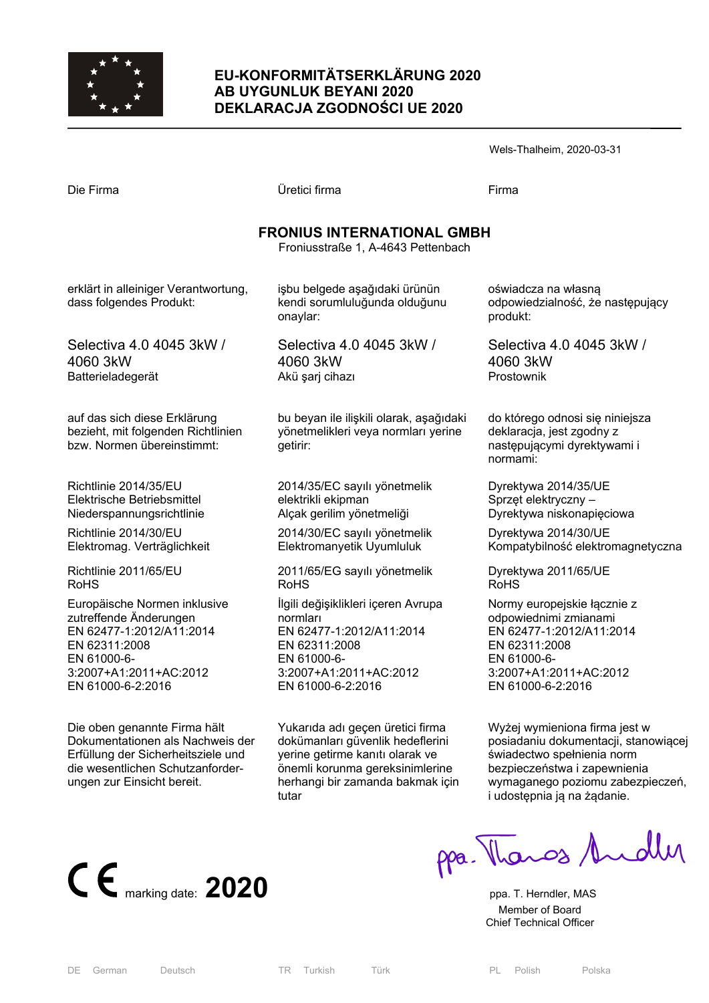

## **EU-KONFORMITÄTSERKLÄRUNG 2020 AB UYGUNLUK BEYANI 2020 DEKLARACJA ZGODNOŚCI UE 2020**

| Wels-Thalheim, 2020-03-31 |  |
|---------------------------|--|
|---------------------------|--|

| Die Firma                                                                                        | Üretici firma                                                                              | Firma                                                                                                   |  |  |
|--------------------------------------------------------------------------------------------------|--------------------------------------------------------------------------------------------|---------------------------------------------------------------------------------------------------------|--|--|
| <b>FRONIUS INTERNATIONAL GMBH</b><br>Froniusstraße 1, A-4643 Pettenbach                          |                                                                                            |                                                                                                         |  |  |
| erklärt in alleiniger Verantwortung,<br>dass folgendes Produkt:                                  | işbu belgede aşağıdaki ürünün<br>kendi sorumluluğunda olduğunu<br>onaylar:                 | oświadcza na własną<br>odpowiedzialność, że następujący<br>produkt:                                     |  |  |
| Selectiva 4.0 4045 3kW /                                                                         | Selectiva 4.0 4045 3kW /                                                                   | Selectiva 4.0 4045 3kW /                                                                                |  |  |
| 4060 3kW                                                                                         | 4060 3kW                                                                                   | 4060 3kW                                                                                                |  |  |
| Batterieladegerät                                                                                | Akü şarj cihazı                                                                            | Prostownik                                                                                              |  |  |
| auf das sich diese Erklärung<br>bezieht, mit folgenden Richtlinien<br>bzw. Normen übereinstimmt: | bu beyan ile ilişkili olarak, aşağıdaki<br>yönetmelikleri veya normları yerine<br>getirir: | do którego odnosi się niniejsza<br>deklaracja, jest zgodny z<br>następującymi dyrektywami i<br>normami: |  |  |
| Richtlinie 2014/35/EU                                                                            | 2014/35/EC sayılı yönetmelik                                                               | Dyrektywa 2014/35/UE                                                                                    |  |  |
| Elektrische Betriebsmittel                                                                       | elektrikli ekipman                                                                         | Sprzęt elektryczny –                                                                                    |  |  |
| Niederspannungsrichtlinie                                                                        | Alçak gerilim yönetmeliği                                                                  | Dyrektywa niskonapięciowa                                                                               |  |  |
| Richtlinie 2014/30/EU                                                                            | 2014/30/EC sayılı yönetmelik                                                               | Dyrektywa 2014/30/UE                                                                                    |  |  |
| Elektromag. Verträglichkeit                                                                      | Elektromanyetik Uyumluluk                                                                  | Kompatybilność elektromagnetyczna                                                                       |  |  |
| Richtlinie 2011/65/EU                                                                            | 2011/65/EG sayılı yönetmelik                                                               | Dyrektywa 2011/65/UE                                                                                    |  |  |
| RoHS                                                                                             | <b>RoHS</b>                                                                                | <b>RoHS</b>                                                                                             |  |  |
| Europäische Normen inklusive                                                                     | İlgili değişiklikleri içeren Avrupa                                                        | Normy europejskie łącznie z                                                                             |  |  |
| zutreffende Änderungen                                                                           | normları                                                                                   | odpowiednimi zmianami                                                                                   |  |  |
| EN 62477-1:2012/A11:2014                                                                         | EN 62477-1:2012/A11:2014                                                                   | EN 62477-1:2012/A11:2014                                                                                |  |  |
| EN 62311:2008                                                                                    | EN 62311:2008                                                                              | EN 62311:2008                                                                                           |  |  |
| EN 61000-6-                                                                                      | EN 61000-6-                                                                                | EN 61000-6-                                                                                             |  |  |
| 3:2007+A1:2011+AC:2012                                                                           | 3:2007+A1:2011+AC:2012                                                                     | 3:2007+A1:2011+AC:2012                                                                                  |  |  |
| EN 61000-6-2:2016                                                                                | EN 61000-6-2:2016                                                                          | EN 61000-6-2:2016                                                                                       |  |  |
| Die oben genannte Firma hält                                                                     | Yukarıda adı geçen üretici firma                                                           | Wyżej wymieniona firma jest w                                                                           |  |  |
| Dokumentationen als Nachweis der                                                                 | dokümanları güvenlik hedeflerini                                                           | posiadaniu dokumentacji, stanowiącej                                                                    |  |  |
| Erfüllung der Sicherheitsziele und                                                               | yerine getirme kanıtı olarak ve                                                            | świadectwo spełnienia norm                                                                              |  |  |



die wesentlichen Schutzanforder-

ungen zur Einsicht bereit.

CE marking date: 2020 Ppa. Thendler, MAS

i udostępnia ją na żądanie.

bezpieczeństwa i zapewnienia wymaganego poziomu zabezpieczeń,

 Member of Board Chief Technical Officer

tutar

önemli korunma gereksinimlerine herhangi bir zamanda bakmak için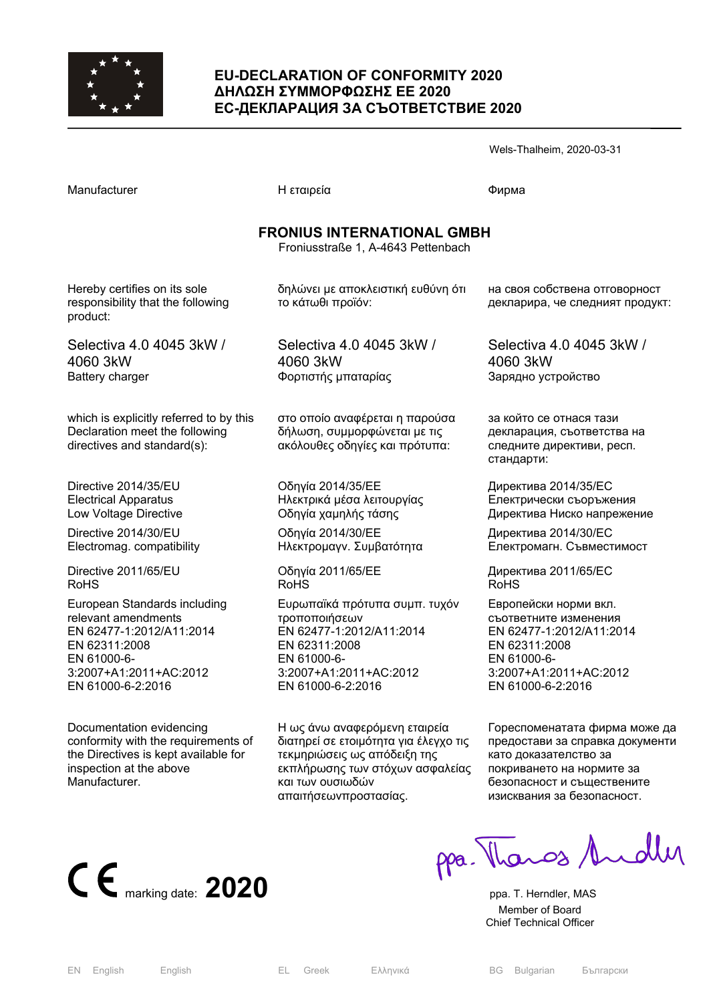

### **EU-DECLARATION OF CONFORMITY 2020 ΔΗΛΩΣΗ ΣΥΜΜΟΡΦΩΣΗΣ ΕΕ 2020 ЕС-ДЕКЛАРАЦИЯ ЗА СЪОТВЕТСТВИЕ 2020**

|                                                                                                          |                                                                                                  | Wels-Thalheim, 2020-03-31                                                                        |  |  |  |
|----------------------------------------------------------------------------------------------------------|--------------------------------------------------------------------------------------------------|--------------------------------------------------------------------------------------------------|--|--|--|
| Manufacturer                                                                                             | Η εταιρεία                                                                                       | Фирма                                                                                            |  |  |  |
| <b>FRONIUS INTERNATIONAL GMBH</b><br>Froniusstraße 1, A-4643 Pettenbach                                  |                                                                                                  |                                                                                                  |  |  |  |
| Hereby certifies on its sole<br>responsibility that the following<br>product:                            | δηλώνει με αποκλειστική ευθύνη ότι<br>το κάτωθι προϊόν:                                          | на своя собствена отговорност<br>декларира, че следният продукт:                                 |  |  |  |
| Selectiva 4.0 4045 3kW /                                                                                 | Selectiva 4.0 4045 3kW /                                                                         | Selectiva 4.0 4045 3kW /                                                                         |  |  |  |
| 4060 3kW                                                                                                 | 4060 3kW                                                                                         | 4060 3kW                                                                                         |  |  |  |
| <b>Battery charger</b>                                                                                   | Φορτιστής μπαταρίας                                                                              | Зарядно устройство                                                                               |  |  |  |
| which is explicitly referred to by this<br>Declaration meet the following<br>directives and standard(s): | στο οποίο αναφέρεται η παρούσα<br>δήλωση, συμμορφώνεται με τις<br>ακόλουθες οδηγίες και πρότυπα: | за който се отнася тази<br>декларация, съответства на<br>следните директиви, респ.<br>стандарти: |  |  |  |
| Directive 2014/35/EU                                                                                     | Οδηγία 2014/35/ΕΕ                                                                                | Директива 2014/35/ЕС                                                                             |  |  |  |
| <b>Electrical Apparatus</b>                                                                              | Ηλεκτρικά μέσα λειτουργίας                                                                       | Електрически съоръжения                                                                          |  |  |  |
| Low Voltage Directive                                                                                    | Οδηγία χαμηλής τάσης                                                                             | Директива Ниско напрежение                                                                       |  |  |  |
| Directive 2014/30/EU                                                                                     | Οδηγία 2014/30/ΕΕ                                                                                | Директива 2014/30/ЕС                                                                             |  |  |  |
| Electromag. compatibility                                                                                | Ηλεκτρομαγν. Συμβατότητα                                                                         | Електромагн. Съвместимост                                                                        |  |  |  |
| Directive 2011/65/EU                                                                                     | Οδηγία 2011/65/ΕΕ                                                                                | Директива 2011/65/ЕС                                                                             |  |  |  |
| <b>RoHS</b>                                                                                              | <b>RoHS</b>                                                                                      | <b>RoHS</b>                                                                                      |  |  |  |
| European Standards including                                                                             | Ευρωπαϊκά πρότυπα συμπ. τυχόν                                                                    | Европейски норми вкл.                                                                            |  |  |  |
| relevant amendments                                                                                      | τροποποιήσεων                                                                                    | съответните изменения                                                                            |  |  |  |
| EN 62477-1:2012/A11:2014                                                                                 | EN 62477-1:2012/A11:2014                                                                         | EN 62477-1:2012/A11:2014                                                                         |  |  |  |
| EN 62311:2008                                                                                            | EN 62311:2008                                                                                    | EN 62311:2008                                                                                    |  |  |  |
| EN 61000-6-                                                                                              | EN 61000-6-                                                                                      | EN 61000-6-                                                                                      |  |  |  |
| 3:2007+A1:2011+AC:2012                                                                                   | 3:2007+A1:2011+AC:2012                                                                           | 3:2007+A1:2011+AC:2012                                                                           |  |  |  |
| EN 61000-6-2:2016                                                                                        | EN 61000-6-2:2016                                                                                | EN 61000-6-2:2016                                                                                |  |  |  |
| Documentation evidencing                                                                                 | Η ως άνω αναφερόμενη εταιρεία                                                                    | Гореспоменатата фирма може да                                                                    |  |  |  |
| conformity with the requirements of                                                                      | διατηρεί σε ετοιμότητα για έλεγχο τις                                                            | предостави за справка документи                                                                  |  |  |  |
| the Directives is kept available for                                                                     | τεκμηριώσεις ως απόδειξη της                                                                     | като доказателство за                                                                            |  |  |  |

CE marking date: 2020 Ppa. T. Herndler, MAS

покриването на нормите за безопасност и съществените изисквания за безопасност.

 Member of Board Chief Technical Officer

inspection at the above

Manufacturer.

εκπλήρωσης των στόχων ασφαλείας

και των ουσιωδών απαιτήσεωνπροστασίας.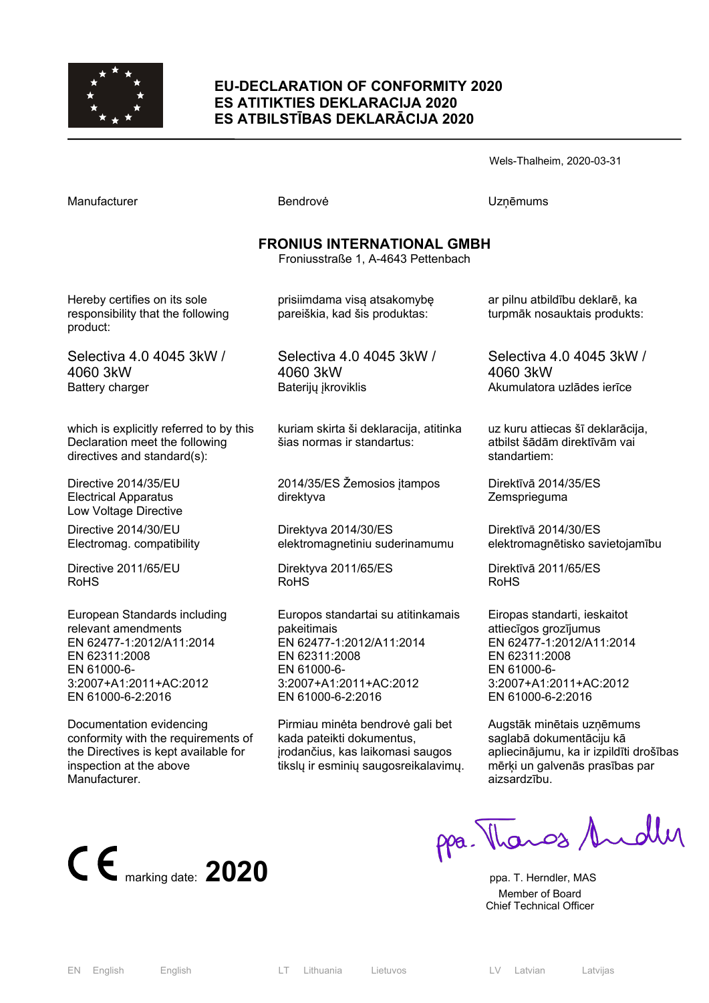

#### **EU-DECLARATION OF CONFORMITY 2020 ES ATITIKTIES DEKLARACIJA 2020 ES ATBILSTĪBAS DEKLARĀCIJA 2020**

Wels-Thalheim, 2020-03-31

Manufacturer **Manufacturer Execute UZņēmums** Bendrovė **UZņēmums FRONIUS INTERNATIONAL GMBH**  Froniusstraße 1, A-4643 Pettenbach Hereby certifies on its sole responsibility that the following product: Selectiva 4.0 4045 3kW / 4060 3kW Battery charger which is explicitly referred to by this Declaration meet the following directives and standard(s): Directive 2014/35/EU Electrical Apparatus Low Voltage Directive Directive 2014/30/EU Electromag. compatibility Directive 2011/65/EU prisiimdama visą atsakomybę pareiškia, kad šis produktas: Selectiva 4.0 4045 3kW / 4060 3kW Baterijų įkroviklis kuriam skirta ši deklaracija, atitinka šias normas ir standartus: 2014/35/ES Žemosios įtampos direktyva Direktyva 2014/30/ES elektromagnetiniu suderinamumu 4060 3kW standartiem: Direktīvā 2014/35/ES **Zemsprieguma** Direktīvā 2014/30/ES

Direktyva 2011/65/ES

RoHS

Europos standartai su atitinkamais pakeitimais EN 62477-1:2012/A11:2014 EN 62311:2008 EN 61000-6- 3:2007+A1:2011+AC:2012 EN 61000-6-2:2016

Pirmiau minėta bendrovė gali bet kada pateikti dokumentus, įrodančius, kas laikomasi saugos tikslų ir esminių saugosreikalavimų. ar pilnu atbildību deklarē, ka turpmāk nosauktais produkts:

Selectiva 4.0 4045 3kW / Akumulatora uzlādes ierīce

uz kuru attiecas šī deklarācija, atbilst šādām direktīvām vai

elektromagnētisko savietojamību

Direktīvā 2011/65/ES RoHS

Eiropas standarti, ieskaitot attiecīgos grozījumus EN 62477-1:2012/A11:2014 EN 62311:2008 EN 61000-6- 3:2007+A1:2011+AC:2012 EN 61000-6-2:2016

Augstāk minētais uzņēmums saglabā dokumentāciju kā apliecinājumu, ka ir izpildīti drošības mērķi un galvenās prasības par aizsardzību.



European Standards including

3:2007+A1:2011+AC:2012 EN 61000-6-2:2016

Documentation evidencing

inspection at the above

**Manufacturer** 

conformity with the requirements of the Directives is kept available for

relevant amendments EN 62477-1:2012/A11:2014

EN 62311:2008 EN 61000-6-

ppa. Thanos Andley

 Member of Board Chief Technical Officer

RoHS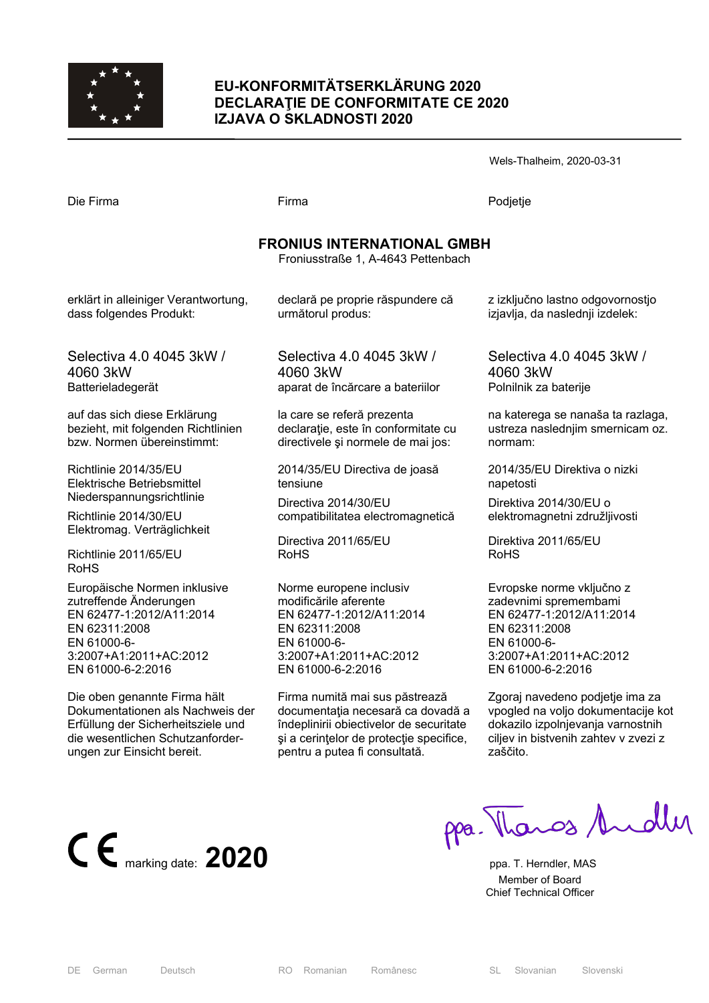

### **EU-KONFORMITÄTSERKLÄRUNG 2020 DECLARAŢIE DE CONFORMITATE CE 2020 IZJAVA O SKLADNOSTI 2020**

Wels-Thalheim, 2020-03-31

Die Firma Firma Podjetje

## **FRONIUS INTERNATIONAL GMBH**

Froniusstraße 1, A-4643 Pettenbach

erklärt in alleiniger Verantwortung, dass folgendes Produkt:

Selectiva 4.0 4045 3kW / 4060 3kW Batterieladegerät

auf das sich diese Erklärung bezieht, mit folgenden Richtlinien bzw. Normen übereinstimmt:

Richtlinie 2014/35/EU Elektrische Betriebsmittel Niederspannungsrichtlinie

Richtlinie 2014/30/EU Elektromag. Verträglichkeit

Richtlinie 2011/65/EU RoHS

Europäische Normen inklusive zutreffende Änderungen EN 62477-1:2012/A11:2014 EN 62311:2008 EN 61000-6- 3:2007+A1:2011+AC:2012 EN 61000-6-2:2016

Die oben genannte Firma hält Dokumentationen als Nachweis der Erfüllung der Sicherheitsziele und die wesentlichen Schutzanforderungen zur Einsicht bereit.

declară pe proprie răspundere că următorul produs:

Selectiva 4.0 4045 3kW / 4060 3kW aparat de încărcare a bateriilor

la care se referă prezenta declaraţie, este în conformitate cu directivele şi normele de mai jos:

2014/35/EU Directiva de joasă tensiune

Directiva 2014/30/EU compatibilitatea electromagnetică

Directiva 2011/65/EU RoHS

Norme europene inclusiv modificările aferente EN 62477-1:2012/A11:2014 EN 62311:2008 EN 61000-6- 3:2007+A1:2011+AC:2012 EN 61000-6-2:2016

Firma numită mai sus păstrează documentaţia necesară ca dovadă a îndeplinirii obiectivelor de securitate si a cerintelor de protectie specifice. pentru a putea fi consultată.

z izključno lastno odgovornostjo izjavlja, da naslednji izdelek:

Selectiva 4.0 4045 3kW / 4060 3kW Polnilnik za baterije

na katerega se nanaša ta razlaga, ustreza naslednjim smernicam oz. normam:

2014/35/EU Direktiva o nizki napetosti

Direktiva 2014/30/EU o elektromagnetni združljivosti

Direktiva 2011/65/EU RoHS

Evropske norme vključno z zadevnimi spremembami EN 62477-1:2012/A11:2014 EN 62311:2008 EN 61000-6- 3:2007+A1:2011+AC:2012 EN 61000-6-2:2016

Zgoraj navedeno podjetje ima za vpogled na voljo dokumentacije kot dokazilo izpolnjevanja varnostnih ciliev in bistvenih zahtev v zvezi z zaščito.

**C**  $\epsilon$  marking date: **2020 ppa. T. Herndler, MAS** 

ppa. Thanos Andly

 Member of Board Chief Technical Officer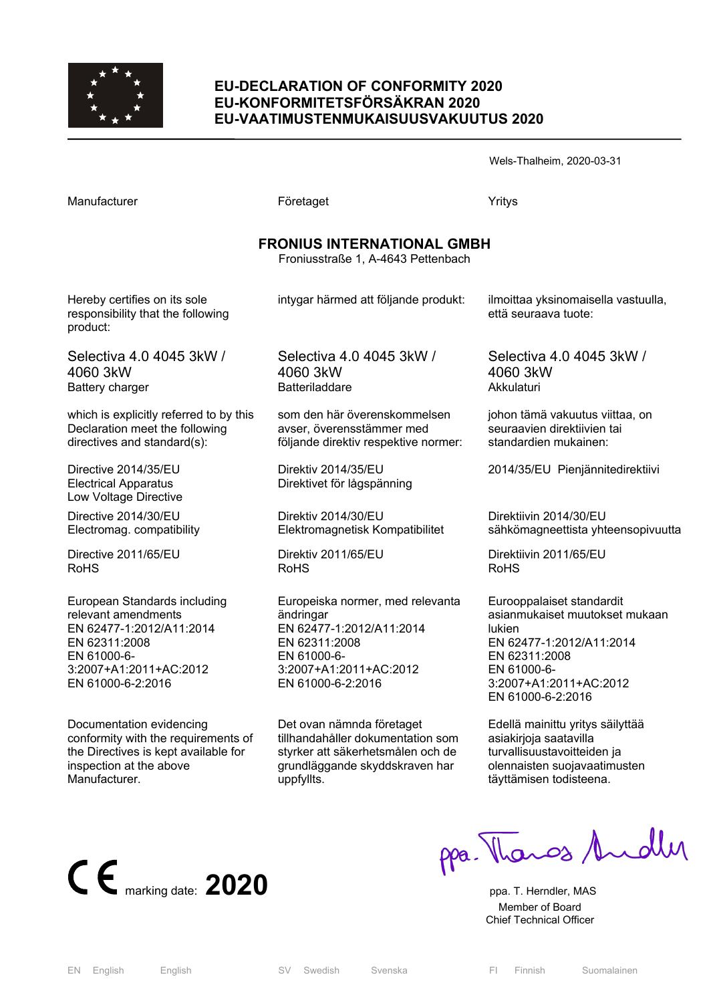

#### **EU-DECLARATION OF CONFORMITY 2020 EU-KONFORMITETSFÖRSÄKRAN 2020 EU-VAATIMUSTENMUKAISUUSVAKUUTUS 2020**

Wels-Thalheim, 2020-03-31

Manufacturer **Företaget** Företaget Yritys **FRONIUS INTERNATIONAL GMBH**  Froniusstraße 1, A-4643 Pettenbach Hereby certifies on its sole responsibility that the following product: Selectiva 4.0 4045 3kW / 4060 3kW Battery charger which is explicitly referred to by this Declaration meet the following directives and standard(s): Directive 2014/35/EU Electrical Apparatus Low Voltage Directive Directive 2014/30/EU Electromag. compatibility Directive 2011/65/EU RoHS intygar härmed att följande produkt: Selectiva 4.0 4045 3kW / 4060 3kW Batteriladdare som den här överenskommelsen avser, överensstämmer med följande direktiv respektive normer: Direktiv 2014/35/EU Direktivet för lågspänning Direktiv 2014/30/EU Elektromagnetisk Kompatibilitet Direktiv 2011/65/EU RoHS ilmoittaa yksinomaisella vastuulla, että seuraava tuote: Selectiva 4.0 4045 3kW / 4060 3kW Akkulaturi johon tämä vakuutus viittaa, on seuraavien direktiivien tai standardien mukainen: 2014/35/EU Pienjännitedirektiivi Direktiivin 2014/30/EU sähkömagneettista yhteensopivuutta Direktiivin 2011/65/EU RoHS

> Europeiska normer, med relevanta ändringar EN 62477-1:2012/A11:2014 EN 62311:2008 EN 61000-6- 3:2007+A1:2011+AC:2012 EN 61000-6-2:2016

Det ovan nämnda företaget tillhandahåller dokumentation som styrker att säkerhetsmålen och de grundläggande skyddskraven har uppfyllts.

Eurooppalaiset standardit asianmukaiset muutokset mukaan lukien EN 62477-1:2012/A11:2014 EN 62311:2008 EN 61000-6- 3:2007+A1:2011+AC:2012 EN 61000-6-2:2016

Edellä mainittu yritys säilyttää asiakirjoja saatavilla turvallisuustavoitteiden ja olennaisten suojavaatimusten täyttämisen todisteena.



European Standards including

3:2007+A1:2011+AC:2012 EN 61000-6-2:2016

Documentation evidencing

inspection at the above

**Manufacturer** 

conformity with the requirements of the Directives is kept available for

relevant amendments EN 62477-1:2012/A11:2014

EN 62311:2008 EN 61000-6-

ppa. Thanos Andley

 Member of Board Chief Technical Officer